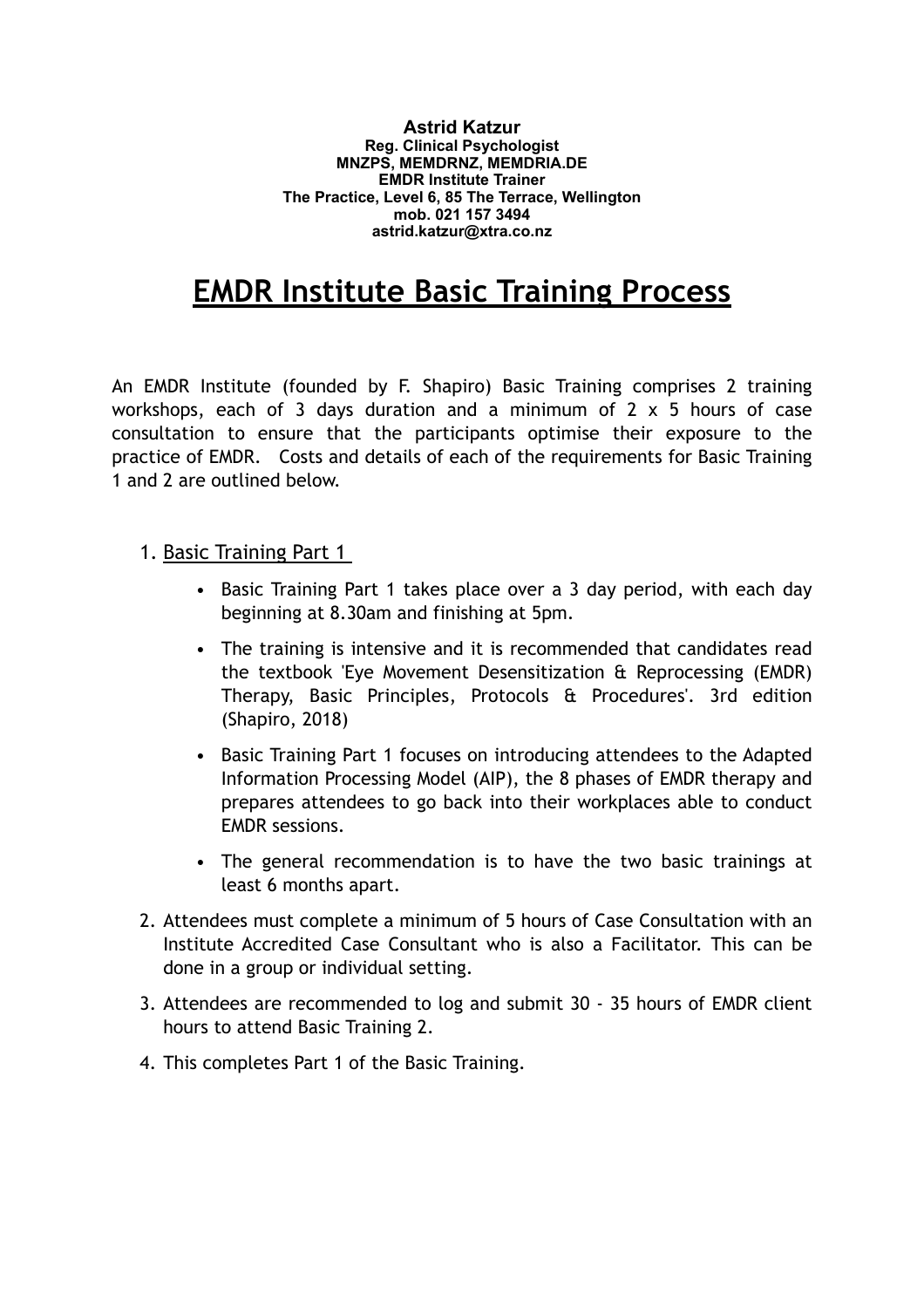**Astrid Katzur Reg. Clinical Psychologist MNZPS, MEMDRNZ, MEMDRIA.DE EMDR Institute Trainer The Practice, Level 6, 85 The Terrace, Wellington mob. 021 157 3494 astrid.katzur@xtra.co.nz**

## **EMDR Institute Basic Training Process**

An EMDR Institute (founded by F. Shapiro) Basic Training comprises 2 training workshops, each of 3 days duration and a minimum of 2 x 5 hours of case consultation to ensure that the participants optimise their exposure to the practice of EMDR. Costs and details of each of the requirements for Basic Training 1 and 2 are outlined below.

1. Basic Training Part 1

- Basic Training Part 1 takes place over a 3 day period, with each day beginning at 8.30am and finishing at 5pm.
- The training is intensive and it is recommended that candidates read the textbook 'Eye Movement Desensitization & Reprocessing (EMDR) Therapy, Basic Principles, Protocols & Procedures'. 3rd edition (Shapiro, 2018)
- Basic Training Part 1 focuses on introducing attendees to the Adapted Information Processing Model (AIP), the 8 phases of EMDR therapy and prepares attendees to go back into their workplaces able to conduct EMDR sessions.
- The general recommendation is to have the two basic trainings at least 6 months apart.
- 2. Attendees must complete a minimum of 5 hours of Case Consultation with an Institute Accredited Case Consultant who is also a Facilitator. This can be done in a group or individual setting.
- 3. Attendees are recommended to log and submit 30 35 hours of EMDR client hours to attend Basic Training 2.
- 4. This completes Part 1 of the Basic Training.